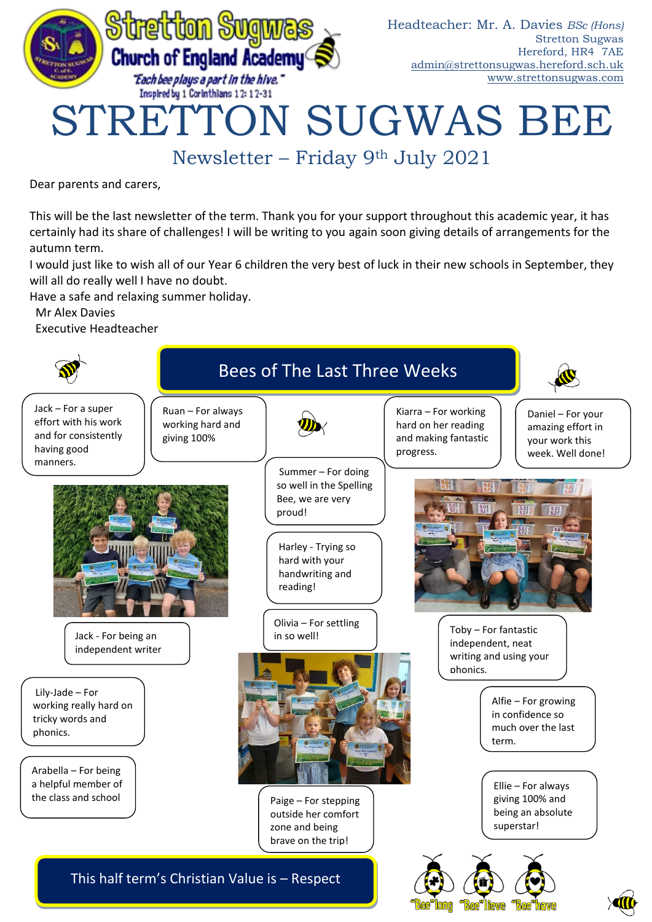